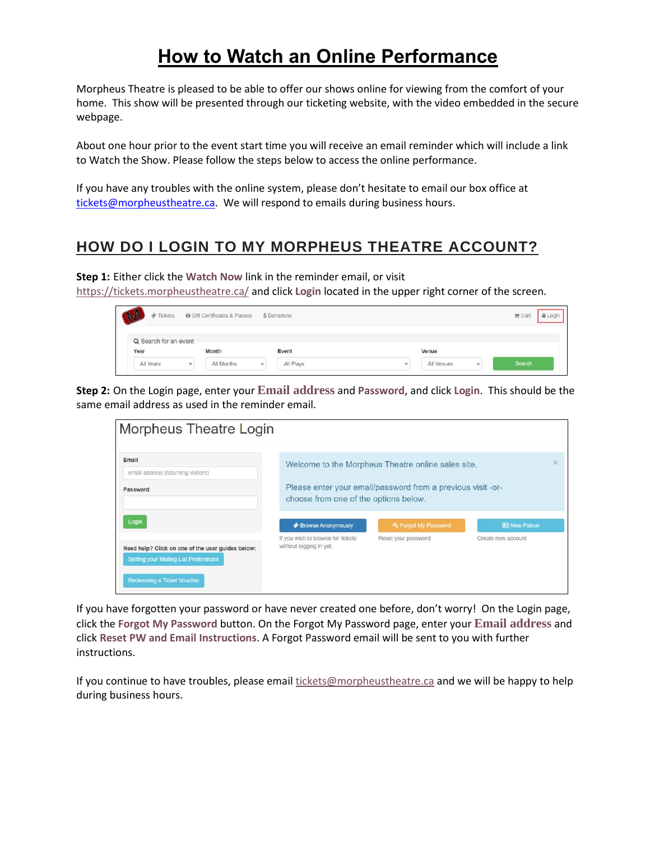# **How to Watch an Online Performance**

Morpheus Theatre is pleased to be able to offer our shows online for viewing from the comfort of your home. This show will be presented through our ticketing website, with the video embedded in the secure webpage.

About one hour prior to the event start time you will receive an email reminder which will include a link to Watch the Show. Please follow the steps below to access the online performance.

If you have any troubles with the online system, please don't hesitate to email our box office at [tickets@morpheustheatre.ca.](mailto:tickets@morpheustheatre.ca) We will respond to emails during business hours.

### **HOW DO I LOGIN TO MY MORPHEUS THEATRE ACCOUNT?**

**Step 1:** Either click the **Watch Now** link in the reminder email, or visit <https://tickets.morpheustheatre.ca/> and click **Login** located in the upper right corner of the screen.

| $\phi$ Tickets                | the Gift Certificates & Passes |            |              | \$ Donations |              |            | A Login<br>$II$ Cart |        |
|-------------------------------|--------------------------------|------------|--------------|--------------|--------------|------------|----------------------|--------|
| Q Search for an event<br>Year |                                | Month      |              | Event        |              | Venue      |                      |        |
| <b>NEWS</b><br>All Years      | $\checkmark$                   | All Months | $\checkmark$ | All Plays    | $\checkmark$ | All Venues | $\checkmark$         | Search |

**Step 2:** On the Login page, enter your **Email address** and **Password**, and click **Login**. This should be the same email address as used in the reminder email.

| Morpheus Theatre Login                                                                              |                                                                                                                                                            |                                             |                                           |  |  |
|-----------------------------------------------------------------------------------------------------|------------------------------------------------------------------------------------------------------------------------------------------------------------|---------------------------------------------|-------------------------------------------|--|--|
| Email<br>email address (returning visitors)<br>Password                                             | Welcome to the Morpheus Theatre online sales site.<br>Please enter your email/password from a previous visit -or-<br>choose from one of the options below. |                                             |                                           |  |  |
| Login<br>Need help? Click on one of the user guides below:<br>Setting your Mailing List Preferences | <b>Browse Anonymously</b><br>If you wish to browse for tickets<br>without logging in yet.                                                                  | & Forgot My Password<br>Reset your password | <b>图 New Patron</b><br>Create new account |  |  |
| Redeeming a Ticket Voucher                                                                          |                                                                                                                                                            |                                             |                                           |  |  |

If you have forgotten your password or have never created one before, don't worry! On the Login page, click the **Forgot My Password** button. On the Forgot My Password page, enter your **Email address** and click **Reset PW and Email Instructions**. A Forgot Password email will be sent to you with further instructions.

If you continue to have troubles, please email  $\frac{likelihood}{likelihood}$  tickets @morpheustheatre.ca and we will be happy to help during business hours.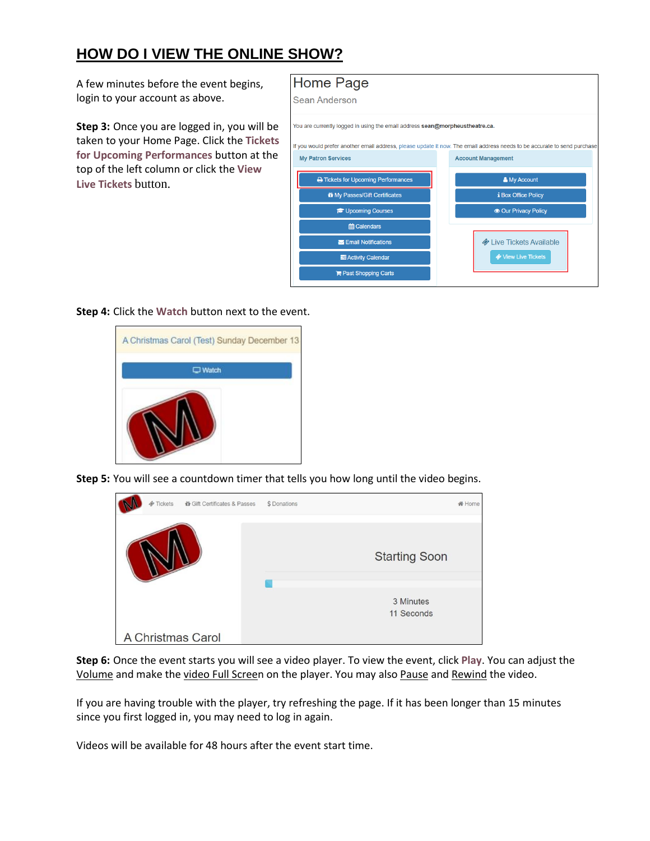## **HOW DO I VIEW THE ONLINE SHOW?**

A few minutes before the event begins, login to your account as above.

**Step 3:** Once you are logged in, you will be taken to your Home Page. Click the **Tickets for Upcoming Performances** button at the top of the left column or click the **View Live Tickets** button.



**Step 4:** Click the **Watch** button next to the event.



**Step 5:** You will see a countdown timer that tells you how long until the video begins.



**Step 6:** Once the event starts you will see a video player. To view the event, click **Play**. You can adjust the Volume and make the video Full Screen on the player. You may also Pause and Rewind the video.

If you are having trouble with the player, try refreshing the page. If it has been longer than 15 minutes since you first logged in, you may need to log in again.

Videos will be available for 48 hours after the event start time.